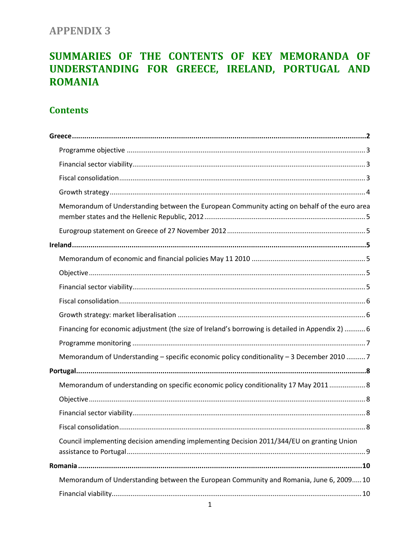# **APPENDIX 3**

# SUMMARIES OF THE CONTENTS OF KEY MEMORANDA OF UNDERSTANDING FOR GREECE, IRELAND, PORTUGAL AND **ROMANIA**

# **Contents**

| Memorandum of Understanding between the European Community acting on behalf of the euro area     |
|--------------------------------------------------------------------------------------------------|
|                                                                                                  |
|                                                                                                  |
|                                                                                                  |
|                                                                                                  |
|                                                                                                  |
|                                                                                                  |
|                                                                                                  |
| Financing for economic adjustment (the size of Ireland's borrowing is detailed in Appendix 2)  6 |
|                                                                                                  |
| Memorandum of Understanding - specific economic policy conditionality - 3 December 2010 7        |
|                                                                                                  |
| Memorandum of understanding on specific economic policy conditionality 17 May 2011  8            |
|                                                                                                  |
|                                                                                                  |
|                                                                                                  |
| Council implementing decision amending implementing Decision 2011/344/EU on granting Union       |
|                                                                                                  |
| Memorandum of Understanding between the European Community and Romania, June 6, 2009 10          |
|                                                                                                  |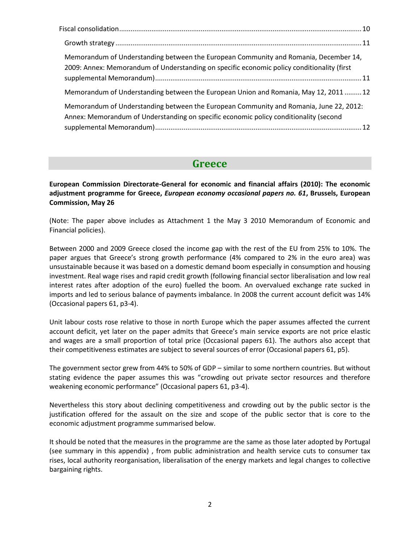| Memorandum of Understanding between the European Community and Romania, December 14,<br>2009: Annex: Memorandum of Understanding on specific economic policy conditionality (first |  |
|------------------------------------------------------------------------------------------------------------------------------------------------------------------------------------|--|
| Memorandum of Understanding between the European Union and Romania, May 12, 2011  12                                                                                               |  |
| Memorandum of Understanding between the European Community and Romania, June 22, 2012:<br>Annex: Memorandum of Understanding on specific economic policy conditionality (second    |  |
|                                                                                                                                                                                    |  |

# **Greece**

<span id="page-1-0"></span>**European Commission Directorate-General for economic and financial affairs (2010): The economic adjustment programme for Greece,** *European economy occasional papers no. 61***, Brussels, European Commission, May 26**

(Note: The paper above includes as Attachment 1 the May 3 2010 Memorandum of Economic and Financial policies).

Between 2000 and 2009 Greece closed the income gap with the rest of the EU from 25% to 10%. The paper argues that Greece's strong growth performance (4% compared to 2% in the euro area) was unsustainable because it was based on a domestic demand boom especially in consumption and housing investment. Real wage rises and rapid credit growth (following financial sector liberalisation and low real interest rates after adoption of the euro) fuelled the boom. An overvalued exchange rate sucked in imports and led to serious balance of payments imbalance. In 2008 the current account deficit was 14% (Occasional papers 61, p3-4).

Unit labour costs rose relative to those in north Europe which the paper assumes affected the current account deficit, yet later on the paper admits that Greece's main service exports are not price elastic and wages are a small proportion of total price (Occasional papers 61). The authors also accept that their competitiveness estimates are subject to several sources of error (Occasional papers 61, p5).

The government sector grew from 44% to 50% of GDP – similar to some northern countries. But without stating evidence the paper assumes this was "crowding out private sector resources and therefore weakening economic performance" (Occasional papers 61, p3-4).

Nevertheless this story about declining competitiveness and crowding out by the public sector is the justification offered for the assault on the size and scope of the public sector that is core to the economic adjustment programme summarised below.

It should be noted that the measures in the programme are the same as those later adopted by Portugal (see summary in this appendix) , from public administration and health service cuts to consumer tax rises, local authority reorganisation, liberalisation of the energy markets and legal changes to collective bargaining rights.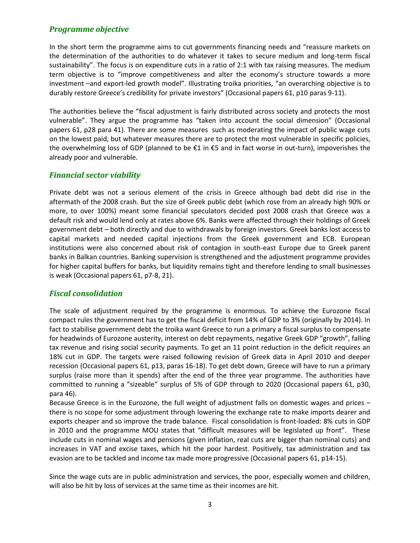#### <span id="page-2-0"></span>*Programme objective*

In the short term the programme aims to cut governments financing needs and "reassure markets on the determination of the authorities to do whatever it takes to secure medium and long-term fiscal sustainability". The focus is on expenditure cuts in a ratio of 2:1 with tax raising measures. The medium term objective is to "improve competitiveness and alter the economy's structure towards a more investment –and export-led growth model". Illustrating troika priorities, "an overarching objective is to durably restore Greece's credibility for private investors" (Occasional papers 61, p10 paras 9-11).

The authorities believe the "fiscal adjustment is fairly distributed across society and protects the most vulnerable". They argue the programme has "taken into account the social dimension" (Occasional papers 61, p28 para 41). There are some measures such as moderating the impact of public wage cuts on the lowest paid, but whatever measures there are to protect the most vulnerable in specific policies, the overwhelming loss of GDP (planned to be €1 in €5 and in fact worse in out-turn), impoverishes the already poor and vulnerable.

#### <span id="page-2-1"></span>*Financial sector viability*

Private debt was not a serious element of the crisis in Greece although bad debt did rise in the aftermath of the 2008 crash. But the size of Greek public debt (which rose from an already high 90% or more, to over 100%) meant some financial speculators decided post 2008 crash that Greece was a default risk and would lend only at rates above 6%. Banks were affected through their holdings of Greek government debt – both directly and due to withdrawals by foreign investors. Greek banks lost access to capital markets and needed capital injections from the Greek government and ECB. European institutions were also concerned about risk of contagion in south-east Europe due to Greek parent banks in Balkan countries. Banking supervision is strengthened and the adjustment programme provides for higher capital buffers for banks, but liquidity remains tight and therefore lending to small businesses is weak (Occasional papers 61, p7-8, 21).

# <span id="page-2-2"></span>*Fiscal consolidation*

The scale of adjustment required by the programme is enormous. To achieve the Eurozone fiscal compact rules the government has to get the fiscal deficit from 14% of GDP to 3% (originally by 2014). In fact to stabilise government debt the troika want Greece to run a primary a fiscal surplus to compensate for headwinds of Eurozone austerity, interest on debt repayments, negative Greek GDP "growth", falling tax revenue and rising social security payments. To get an 11 point reduction in the deficit requires an 18% cut in GDP. The targets were raised following revision of Greek data in April 2010 and deeper recession (Occasional papers 61, p13, paras 16-18). To get debt down, Greece will have to run a primary surplus (raise more than it spends) after the end of the three year programme. The authorities have committed to running a "sizeable" surplus of 5% of GDP through to 2020 (Occasional papers 61, p30, para 46).

Because Greece is in the Eurozone, the full weight of adjustment falls on domestic wages and prices – there is no scope for some adjustment through lowering the exchange rate to make imports dearer and exports cheaper and so improve the trade balance. Fiscal consolidation is front-loaded: 8% cuts in GDP in 2010 and the programme MOU states that "difficult measures will be legislated up front". These include cuts in nominal wages and pensions (given inflation, real cuts are bigger than nominal cuts) and increases in VAT and excise taxes, which hit the poor hardest. Positively, tax administration and tax evasion are to be tackled and income tax made more progressive (Occasional papers 61, p14-15).

Since the wage cuts are in public administration and services, the poor, especially women and children, will also be hit by loss of services at the same time as their incomes are hit.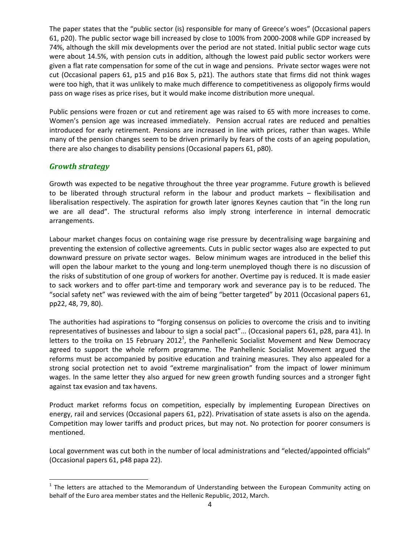The paper states that the "public sector (is) responsible for many of Greece's woes" (Occasional papers 61, p20). The public sector wage bill increased by close to 100% from 2000-2008 while GDP increased by 74%, although the skill mix developments over the period are not stated. Initial public sector wage cuts were about 14.5%, with pension cuts in addition, although the lowest paid public sector workers were given a flat rate compensation for some of the cut in wage and pensions. Private sector wages were not cut (Occasional papers 61, p15 and p16 Box 5, p21). The authors state that firms did not think wages were too high, that it was unlikely to make much difference to competitiveness as oligopoly firms would pass on wage rises as price rises, but it would make income distribution more unequal.

Public pensions were frozen or cut and retirement age was raised to 65 with more increases to come. Women's pension age was increased immediately. Pension accrual rates are reduced and penalties introduced for early retirement. Pensions are increased in line with prices, rather than wages. While many of the pension changes seem to be driven primarily by fears of the costs of an ageing population, there are also changes to disability pensions (Occasional papers 61, p80).

#### <span id="page-3-0"></span>*Growth strategy*

 $\overline{\phantom{a}}$ 

Growth was expected to be negative throughout the three year programme. Future growth is believed to be liberated through structural reform in the labour and product markets – flexibilisation and liberalisation respectively. The aspiration for growth later ignores Keynes caution that "in the long run we are all dead". The structural reforms also imply strong interference in internal democratic arrangements.

Labour market changes focus on containing wage rise pressure by decentralising wage bargaining and preventing the extension of collective agreements. Cuts in public sector wages also are expected to put downward pressure on private sector wages. Below minimum wages are introduced in the belief this will open the labour market to the young and long-term unemployed though there is no discussion of the risks of substitution of one group of workers for another. Overtime pay is reduced. It is made easier to sack workers and to offer part-time and temporary work and severance pay is to be reduced. The "social safety net" was reviewed with the aim of being "better targeted" by 2011 (Occasional papers 61, pp22, 48, 79, 80).

The authorities had aspirations to "forging consensus on policies to overcome the crisis and to inviting representatives of businesses and labour to sign a social pact"... (Occasional papers 61, p28, para 41). In letters to the troika on 15 February 2012<sup>1</sup>, the Panhellenic Socialist Movement and New Democracy agreed to support the whole reform programme. The Panhellenic Socialist Movement argued the reforms must be accompanied by positive education and training measures. They also appealed for a strong social protection net to avoid "extreme marginalisation" from the impact of lower minimum wages. In the same letter they also argued for new green growth funding sources and a stronger fight against tax evasion and tax havens.

Product market reforms focus on competition, especially by implementing European Directives on energy, rail and services (Occasional papers 61, p22). Privatisation of state assets is also on the agenda. Competition may lower tariffs and product prices, but may not. No protection for poorer consumers is mentioned.

Local government was cut both in the number of local administrations and "elected/appointed officials" (Occasional papers 61, p48 papa 22).

 $<sup>1</sup>$  The letters are attached to the Memorandum of Understanding between the European Community acting on</sup> behalf of the Euro area member states and the Hellenic Republic, 2012, March.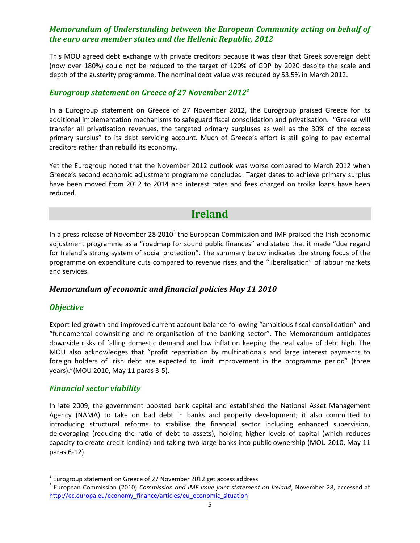# <span id="page-4-0"></span>*Memorandum of Understanding between the European Community acting on behalf of the euro area member states and the Hellenic Republic, 2012*

This MOU agreed debt exchange with private creditors because it was clear that Greek sovereign debt (now over 180%) could not be reduced to the target of 120% of GDP by 2020 despite the scale and depth of the austerity programme. The nominal debt value was reduced by 53.5% in March 2012.

#### <span id="page-4-1"></span>*Eurogroup statement on Greece of 27 November 2012<sup>2</sup>*

In a Eurogroup statement on Greece of 27 November 2012, the Eurogroup praised Greece for its additional implementation mechanisms to safeguard fiscal consolidation and privatisation. "Greece will transfer all privatisation revenues, the targeted primary surpluses as well as the 30% of the excess primary surplus" to its debt servicing account. Much of Greece's effort is still going to pay external creditors rather than rebuild its economy.

Yet the Eurogroup noted that the November 2012 outlook was worse compared to March 2012 when Greece's second economic adjustment programme concluded. Target dates to achieve primary surplus have been moved from 2012 to 2014 and interest rates and fees charged on troika loans have been reduced.

# **Ireland**

<span id="page-4-2"></span>In a press release of November 28 2010<sup>3</sup> the European Commission and IMF praised the Irish economic adjustment programme as a "roadmap for sound public finances" and stated that it made "due regard for Ireland's strong system of social protection". The summary below indicates the strong focus of the programme on expenditure cuts compared to revenue rises and the "liberalisation" of labour markets and services.

#### <span id="page-4-3"></span>*Memorandum of economic and financial policies May 11 2010*

#### <span id="page-4-4"></span>*Objective*

**E**xport-led growth and improved current account balance following "ambitious fiscal consolidation" and "fundamental downsizing and re-organisation of the banking sector". The Memorandum anticipates downside risks of falling domestic demand and low inflation keeping the real value of debt high. The MOU also acknowledges that "profit repatriation by multinationals and large interest payments to foreign holders of Irish debt are expected to limit improvement in the programme period" (three years)."(MOU 2010, May 11 paras 3-5).

#### <span id="page-4-5"></span>*Financial sector viability*

In late 2009, the government boosted bank capital and established the National Asset Management Agency (NAMA) to take on bad debt in banks and property development; it also committed to introducing structural reforms to stabilise the financial sector including enhanced supervision, deleveraging (reducing the ratio of debt to assets), holding higher levels of capital (which reduces capacity to create credit lending) and taking two large banks into public ownership (MOU 2010, May 11 paras 6-12).

 2 Eurogroup statement on Greece of 27 November 2012 get access address

<sup>3</sup> European Commission (2010) *Commission and IMF issue joint statement on Ireland*, November 28, accessed at [http://ec.europa.eu/economy\\_finance/articles/eu\\_economic\\_situation](http://ec.europa.eu/economy_finance/articles/eu_economic_situation)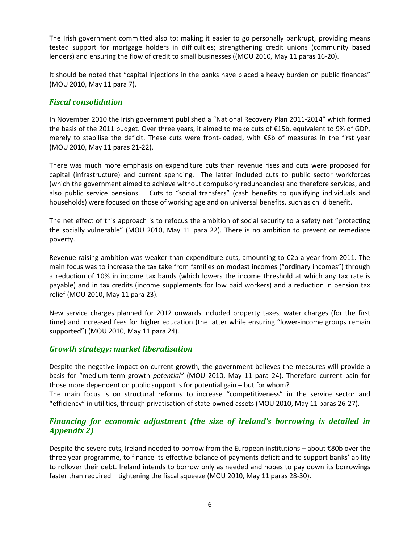The Irish government committed also to: making it easier to go personally bankrupt, providing means tested support for mortgage holders in difficulties; strengthening credit unions (community based lenders) and ensuring the flow of credit to small businesses ((MOU 2010, May 11 paras 16-20).

It should be noted that "capital injections in the banks have placed a heavy burden on public finances" (MOU 2010, May 11 para 7).

#### <span id="page-5-0"></span>*Fiscal consolidation*

In November 2010 the Irish government published a "National Recovery Plan 2011-2014" which formed the basis of the 2011 budget. Over three years, it aimed to make cuts of €15b, equivalent to 9% of GDP, merely to stabilise the deficit. These cuts were front-loaded, with €6b of measures in the first year (MOU 2010, May 11 paras 21-22).

There was much more emphasis on expenditure cuts than revenue rises and cuts were proposed for capital (infrastructure) and current spending. The latter included cuts to public sector workforces (which the government aimed to achieve without compulsory redundancies) and therefore services, and also public service pensions. Cuts to "social transfers" (cash benefits to qualifying individuals and households) were focused on those of working age and on universal benefits, such as child benefit.

The net effect of this approach is to refocus the ambition of social security to a safety net "protecting the socially vulnerable" (MOU 2010, May 11 para 22). There is no ambition to prevent or remediate poverty.

Revenue raising ambition was weaker than expenditure cuts, amounting to €2b a year from 2011. The main focus was to increase the tax take from families on modest incomes ("ordinary incomes") through a reduction of 10% in income tax bands (which lowers the income threshold at which any tax rate is payable) and in tax credits (income supplements for low paid workers) and a reduction in pension tax relief (MOU 2010, May 11 para 23).

New service charges planned for 2012 onwards included property taxes, water charges (for the first time) and increased fees for higher education (the latter while ensuring "lower-income groups remain supported") (MOU 2010, May 11 para 24).

#### <span id="page-5-1"></span>*Growth strategy: market liberalisation*

Despite the negative impact on current growth, the government believes the measures will provide a basis for "medium-term growth *potential"* (MOU 2010, May 11 para 24). Therefore current pain for those more dependent on public support is for potential gain – but for whom?

The main focus is on structural reforms to increase "competitiveness" in the service sector and "efficiency" in utilities, through privatisation of state-owned assets (MOU 2010, May 11 paras 26-27).

# <span id="page-5-2"></span>*Financing for economic adjustment (the size of Ireland's borrowing is detailed in Appendix 2)*

Despite the severe cuts, Ireland needed to borrow from the European institutions – about €80b over the three year programme, to finance its effective balance of payments deficit and to support banks' ability to rollover their debt. Ireland intends to borrow only as needed and hopes to pay down its borrowings faster than required – tightening the fiscal squeeze (MOU 2010, May 11 paras 28-30).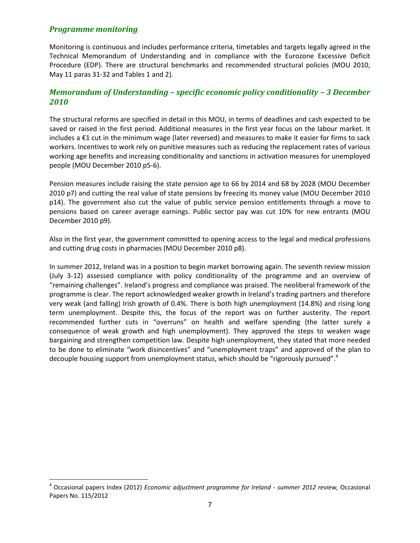#### <span id="page-6-0"></span>*Programme monitoring*

 $\overline{\phantom{a}}$ 

Monitoring is continuous and includes performance criteria, timetables and targets legally agreed in the Technical Memorandum of Understanding and in compliance with the Eurozone Excessive Deficit Procedure (EDP). There are structural benchmarks and recommended structural policies (MOU 2010, May 11 paras 31-32 and Tables 1 and 2).

## <span id="page-6-1"></span>*Memorandum of Understanding – specific economic policy conditionality – 3 December 2010*

The structural reforms are specified in detail in this MOU, in terms of deadlines and cash expected to be saved or raised in the first period. Additional measures in the first year focus on the labour market. It includes a €1 cut in the minimum wage (later reversed) and measures to make it easier for firms to sack workers. Incentives to work rely on punitive measures such as reducing the replacement rates of various working age benefits and increasing conditionality and sanctions in activation measures for unemployed people (MOU December 2010 p5-6).

Pension measures include raising the state pension age to 66 by 2014 and 68 by 2028 (MOU December 2010 p7) and cutting the real value of state pensions by freezing its money value (MOU December 2010 p14). The government also cut the value of public service pension entitlements through a move to pensions based on career average earnings. Public sector pay was cut 10% for new entrants (MOU December 2010 p9).

Also in the first year, the government committed to opening access to the legal and medical professions and cutting drug costs in pharmacies (MOU December 2010 p8).

In summer 2012, Ireland was in a position to begin market borrowing again. The seventh review mission (July 3-12) assessed compliance with policy conditionality of the programme and an overview of "remaining challenges". Ireland's progress and compliance was praised. The neoliberal framework of the programme is clear. The report acknowledged weaker growth in Ireland's trading partners and therefore very weak (and falling) Irish growth of 0.4%. There is both high unemployment (14.8%) and rising long term unemployment. Despite this, the focus of the report was on further austerity. The report recommended further cuts in "overruns" on health and welfare spending (the latter surely a consequence of weak growth and high unemployment). They approved the steps to weaken wage bargaining and strengthen competition law. Despite high unemployment, they stated that more needed to be done to eliminate "work disincentives" and "unemployment traps" and approved of the plan to decouple housing support from unemployment status, which should be "rigorously pursued".<sup>4</sup>

<sup>4</sup> Occasional papers Index (2012) *Economic adjustment programme for Ireland - summer 2012 review,* Occasional Papers No. 115/2012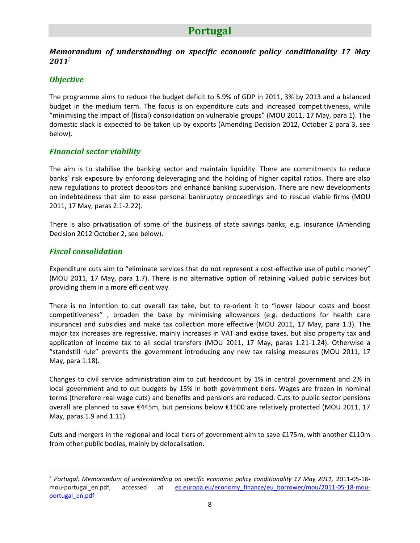# **Portugal**

# <span id="page-7-1"></span><span id="page-7-0"></span>*Memorandum of understanding on specific economic policy conditionality 17 May 2011<sup>5</sup>*

# <span id="page-7-2"></span>*Objective*

The programme aims to reduce the budget deficit to 5.9% of GDP in 2011, 3% by 2013 and a balanced budget in the medium term. The focus is on expenditure cuts and increased competitiveness, while "minimising the impact of (fiscal) consolidation on vulnerable groups" (MOU 2011, 17 May, para 1). The domestic slack is expected to be taken up by exports (Amending Decision 2012, October 2 para 3, see below).

# <span id="page-7-3"></span>*Financial sector viability*

The aim is to stabilise the banking sector and maintain liquidity. There are commitments to reduce banks' risk exposure by enforcing deleveraging and the holding of higher capital ratios. There are also new regulations to protect depositors and enhance banking supervision. There are new developments on indebtedness that aim to ease personal bankruptcy proceedings and to rescue viable firms (MOU 2011, 17 May, paras 2.1-2.22).

There is also privatisation of some of the business of state savings banks, e.g. insurance (Amending Decision 2012 October 2, see below).

# <span id="page-7-4"></span>*Fiscal consolidation*

Expenditure cuts aim to "eliminate services that do not represent a cost-effective use of public money" (MOU 2011, 17 May, para 1.7). There is no alternative option of retaining valued public services but providing them in a more efficient way.

There is no intention to cut overall tax take, but to re-orient it to "lower labour costs and boost competitiveness" , broaden the base by minimising allowances (e.g. deductions for health care insurance) and subsidies and make tax collection more effective (MOU 2011, 17 May, para 1.3). The major tax increases are regressive, mainly increases in VAT and excise taxes, but also property tax and application of income tax to all social transfers (MOU 2011, 17 May, paras 1.21-1.24). Otherwise a "standstill rule" prevents the government introducing any new tax raising measures (MOU 2011, 17 May, para 1.18).

Changes to civil service administration aim to cut headcount by 1% in central government and 2% in local government and to cut budgets by 15% in both government tiers. Wages are frozen in nominal terms (therefore real wage cuts) and benefits and pensions are reduced. Cuts to public sector pensions overall are planned to save €445m, but pensions below €1500 are relatively protected (MOU 2011, 17 May, paras 1.9 and 1.11).

Cuts and mergers in the regional and local tiers of government aim to save €175m, with another €110m from other public bodies, mainly by delocalisation.

 $\overline{a}$ 5 *Portugal: Memorandum of understanding on specific economic policy conditionality 17 May 2011,* 2011-05-18 mou-portugal en.pdf, accessed at ec.europa.eu/economy finance/eu borrower/mou/2011-05-18-mou[portugal\\_en.pdf](file:///C:/Users/nellie/AppData/Local/Temp/ec.europa.eu/economy_finance/eu_borrower/mou/2011-05-18-mou-portugal_en.pdf)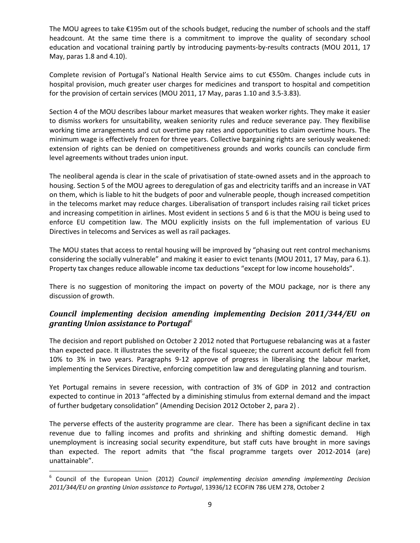The MOU agrees to take €195m out of the schools budget, reducing the number of schools and the staff headcount. At the same time there is a commitment to improve the quality of secondary school education and vocational training partly by introducing payments-by-results contracts (MOU 2011, 17 May, paras 1.8 and 4.10).

Complete revision of Portugal's National Health Service aims to cut €550m. Changes include cuts in hospital provision, much greater user charges for medicines and transport to hospital and competition for the provision of certain services (MOU 2011, 17 May, paras 1.10 and 3.5-3.83).

Section 4 of the MOU describes labour market measures that weaken worker rights. They make it easier to dismiss workers for unsuitability, weaken seniority rules and reduce severance pay. They flexibilise working time arrangements and cut overtime pay rates and opportunities to claim overtime hours. The minimum wage is effectively frozen for three years. Collective bargaining rights are seriously weakened: extension of rights can be denied on competitiveness grounds and works councils can conclude firm level agreements without trades union input.

The neoliberal agenda is clear in the scale of privatisation of state-owned assets and in the approach to housing. Section 5 of the MOU agrees to deregulation of gas and electricity tariffs and an increase in VAT on them, which is liable to hit the budgets of poor and vulnerable people, though increased competition in the telecoms market may reduce charges. Liberalisation of transport includes raising rail ticket prices and increasing competition in airlines. Most evident in sections 5 and 6 is that the MOU is being used to enforce EU competition law. The MOU explicitly insists on the full implementation of various EU Directives in telecoms and Services as well as rail packages.

The MOU states that access to rental housing will be improved by "phasing out rent control mechanisms considering the socially vulnerable" and making it easier to evict tenants (MOU 2011, 17 May, para 6.1). Property tax changes reduce allowable income tax deductions "except for low income households".

There is no suggestion of monitoring the impact on poverty of the MOU package, nor is there any discussion of growth.

# <span id="page-8-0"></span>*Council implementing decision amending implementing Decision 2011/344/EU on granting Union assistance to Portugal<sup>6</sup>*

The decision and report published on October 2 2012 noted that Portuguese rebalancing was at a faster than expected pace. It illustrates the severity of the fiscal squeeze; the current account deficit fell from 10% to 3% in two years. Paragraphs 9-12 approve of progress in liberalising the labour market, implementing the Services Directive, enforcing competition law and deregulating planning and tourism.

Yet Portugal remains in severe recession, with contraction of 3% of GDP in 2012 and contraction expected to continue in 2013 "affected by a diminishing stimulus from external demand and the impact of further budgetary consolidation" (Amending Decision 2012 October 2, para 2) .

The perverse effects of the austerity programme are clear. There has been a significant decline in tax revenue due to falling incomes and profits and shrinking and shifting domestic demand. High unemployment is increasing social security expenditure, but staff cuts have brought in more savings than expected. The report admits that "the fiscal programme targets over 2012-2014 (are) unattainable".

 $\overline{a}$ 

<sup>&</sup>lt;sup>6</sup> Council of the European Union (2012) *Council implementing decision amending implementing Decision 2011/344/EU on granting Union assistance to Portugal*, 13936/12 ECOFIN 786 UEM 278, October 2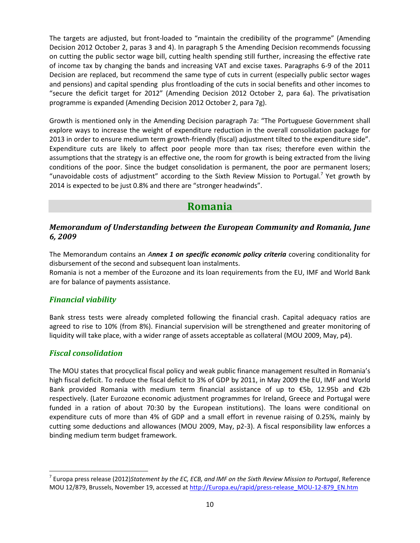The targets are adjusted, but front-loaded to "maintain the credibility of the programme" (Amending Decision 2012 October 2, paras 3 and 4). In paragraph 5 the Amending Decision recommends focussing on cutting the public sector wage bill, cutting health spending still further, increasing the effective rate of income tax by changing the bands and increasing VAT and excise taxes. Paragraphs 6-9 of the 2011 Decision are replaced, but recommend the same type of cuts in current (especially public sector wages and pensions) and capital spending plus frontloading of the cuts in social benefits and other incomes to "secure the deficit target for 2012" (Amending Decision 2012 October 2, para 6a). The privatisation programme is expanded (Amending Decision 2012 October 2, para 7g).

Growth is mentioned only in the Amending Decision paragraph 7a: "The Portuguese Government shall explore ways to increase the weight of expenditure reduction in the overall consolidation package for 2013 in order to ensure medium term growth-friendly (fiscal) adjustment tilted to the expenditure side". Expenditure cuts are likely to affect poor people more than tax rises; therefore even within the assumptions that the strategy is an effective one, the room for growth is being extracted from the living conditions of the poor. Since the budget consolidation is permanent, the poor are permanent losers; "unavoidable costs of adjustment" according to the Sixth Review Mission to Portugal.<sup>7</sup> Yet growth by 2014 is expected to be just 0.8% and there are "stronger headwinds".

# **Romania**

# <span id="page-9-1"></span><span id="page-9-0"></span>*Memorandum of Understanding between the European Community and Romania, June 6, 2009*

The Memorandum contains an *Annex 1 on specific economic policy criteria* covering conditionality for disbursement of the second and subsequent loan instalments.

Romania is not a member of the Eurozone and its loan requirements from the EU, IMF and World Bank are for balance of payments assistance.

# <span id="page-9-2"></span>*Financial viability*

Bank stress tests were already completed following the financial crash. Capital adequacy ratios are agreed to rise to 10% (from 8%). Financial supervision will be strengthened and greater monitoring of liquidity will take place, with a wider range of assets acceptable as collateral (MOU 2009, May, p4).

#### <span id="page-9-3"></span>*Fiscal consolidation*

 $\overline{a}$ 

The MOU states that procyclical fiscal policy and weak public finance management resulted in Romania's high fiscal deficit. To reduce the fiscal deficit to 3% of GDP by 2011, in May 2009 the EU, IMF and World Bank provided Romania with medium term financial assistance of up to €5b, 12.95b and €2b respectively. (Later Eurozone economic adjustment programmes for Ireland, Greece and Portugal were funded in a ration of about 70:30 by the European institutions). The loans were conditional on expenditure cuts of more than 4% of GDP and a small effort in revenue raising of 0.25%, mainly by cutting some deductions and allowances (MOU 2009, May, p2-3). A fiscal responsibility law enforces a binding medium term budget framework.

<sup>7</sup> Europa press release (2012)*Statement by the EC, ECB, and IMF on the Sixth Review Mission to Portugal*, Reference MOU 12/879, Brussels, November 19, accessed at [http://Europa.eu/rapid/press-release\\_MOU-12-879\\_EN.htm](http://europa.eu/rapid/press-release_MOU-12-879_EN.htm)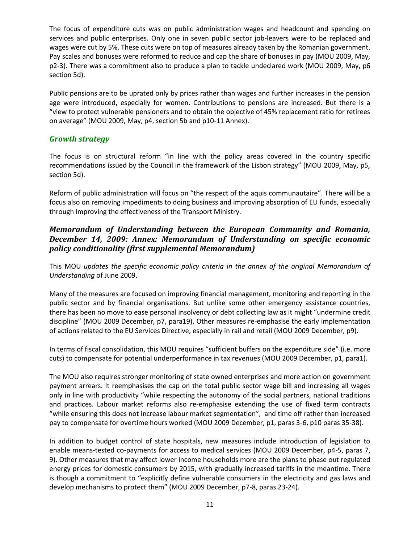The focus of expenditure cuts was on public administration wages and headcount and spending on services and public enterprises. Only one in seven public sector job-leavers were to be replaced and wages were cut by 5%. These cuts were on top of measures already taken by the Romanian government. Pay scales and bonuses were reformed to reduce and cap the share of bonuses in pay (MOU 2009, May, p2-3). There was a commitment also to produce a plan to tackle undeclared work (MOU 2009, May, p6 section 5d).

Public pensions are to be uprated only by prices rather than wages and further increases in the pension age were introduced, especially for women. Contributions to pensions are increased. But there is a "view to protect vulnerable pensioners and to obtain the objective of 45% replacement ratio for retirees on average" (MOU 2009, May, p4, section 5b and p10-11 Annex).

#### <span id="page-10-0"></span>*Growth strategy*

The focus is on structural reform "in line with the policy areas covered in the country specific recommendations issued by the Council in the framework of the Lisbon strategy" (MOU 2009, May, p5, section 5d).

Reform of public administration will focus on "the respect of the aquis communautaire". There will be a focus also on removing impediments to doing business and improving absorption of EU funds, especially through improving the effectiveness of the Transport Ministry.

#### <span id="page-10-1"></span>*Memorandum of Understanding between the European Community and Romania, December 14, 2009: Annex: Memorandum of Understanding on specific economic policy conditionality (first supplemental Memorandum)*

This MOU *updates the specific economic policy criteria in the annex of the original Memorandum of Understanding* of June 2009.

Many of the measures are focused on improving financial management, monitoring and reporting in the public sector and by financial organisations. But unlike some other emergency assistance countries, there has been no move to ease personal insolvency or debt collecting law as it might "undermine credit discipline" (MOU 2009 December, p7, para19). Other measures re-emphasise the early implementation of actions related to the EU Services Directive, especially in rail and retail (MOU 2009 December, p9).

In terms of fiscal consolidation, this MOU requires "sufficient buffers on the expenditure side" (i.e. more cuts) to compensate for potential underperformance in tax revenues (MOU 2009 December, p1, para1).

The MOU also requires stronger monitoring of state owned enterprises and more action on government payment arrears. It reemphasises the cap on the total public sector wage bill and increasing all wages only in line with productivity "while respecting the autonomy of the social partners, national traditions and practices. Labour market reforms also re-emphasise extending the use of fixed term contracts "while ensuring this does not increase labour market segmentation", and time off rather than increased pay to compensate for overtime hours worked (MOU 2009 December, p1, paras 3-6, p10 paras 35-38).

In addition to budget control of state hospitals, new measures include introduction of legislation to enable means-tested co-payments for access to medical services (MOU 2009 December, p4-5, paras 7, 9). Other measures that may affect lower income households more are the plans to phase out regulated energy prices for domestic consumers by 2015, with gradually increased tariffs in the meantime. There is though a commitment to "explicitly define vulnerable consumers in the electricity and gas laws and develop mechanisms to protect them" (MOU 2009 December, p7-8, paras 23-24).